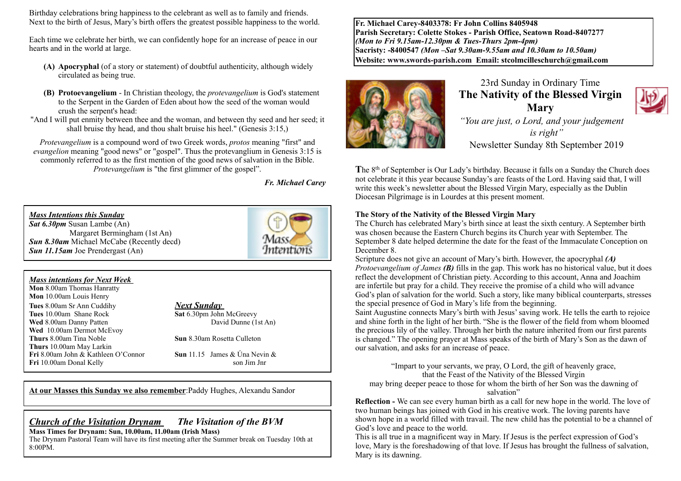Birthday celebrations bring happiness to the celebrant as well as to family and friends. Next to the birth of Jesus, Mary's birth offers the greatest possible happiness to the world.

Each time we celebrate her birth, we can confidently hope for an increase of peace in our hearts and in the world at large.

- **(A) Apocryphal** (of a story or statement) of doubtful authenticity, although widely circulated as being true.
- **(B) Protoevangelium** In Christian theology, the *protevangelium* is God's statement to the Serpent in the Garden of Eden about how the seed of the woman would crush the serpent's head:
- "And I will put enmity between thee and the woman, and between thy seed and her seed; it shall bruise thy head, and thou shalt bruise his heel." (Genesis 3:15,)

*Protevangelium* is a compound word of two Greek words, *protos* meaning "first" and *evangelion* meaning "good news" or "gospel". Thus the protevanglium in Genesis 3:15 is commonly referred to as the first mention of the good news of salvation in the Bible. *Protevangelium* is "the first glimmer of the gospel".

*Fr. Michael Carey*



#### *Mass intentions for Next Week*

**Mon** 8.00am Thomas Hanratty **Mon** 10.00am Louis Henry **Tues** 8.00am Sr Ann Cuddihy *Next Sunday*  **Tues** 10.00am Shane Rock **Sat** 6.30pm John McGreevy<br> **Wed** 8.00am Danny Patten David Dunne (1st An) **Wed** 8.00am Danny Patten Wed 10.00am Dermot McEvoy **Thurs** 8.00am Tina Noble **Sun** 8.30am Rosetta Culleton **Thurs** 10.00am May Larkin **Fri** 8.00am John & Kathleen O'Connor **Sun** 11.15 James & Úna Nevin & **Fri** 10.00am Donal Kelly son Jim Jnr

**At our Masses this Sunday we also remember**:Paddy Hughes, Alexandu Sandor

# *Church of the Visitation Drynam**The Visitation of the BVM*

**Mass Times for Drynam: Sun, 10.00am, 11.00am (Irish Mass)** 

The Drynam Pastoral Team will have its first meeting after the Summer break on Tuesday 10th at 8:00PM.

**Fr. Michael Carey-8403378: Fr John Collins 8405948 Parish Secretary: Colette Stokes - Parish Office, Seatown Road-8407277**  *(Mon to Fri 9.15am-12.30pm & Tues-Thurs 2pm-4pm)*  **Sacristy: -8400547** *(Mon –Sat 9.30am-9.55am and 10.30am to 10.50am)* **Website: [www.swords-parish.com Email:](http://www.swords-parish.com%20%20email) stcolmcilleschurch@gmail.com**



# 23rd Sunday in Ordinary Time **The Nativity of the Blessed Virgin Mary**



 *"You are just, o Lord, and your judgement is right"*  Newsletter Sunday 8th September 2019

The 8<sup>th</sup> of September is Our Lady's birthday. Because it falls on a Sunday the Church does not celebrate it this year because Sunday's are feasts of the Lord. Having said that, I will write this week's newsletter about the Blessed Virgin Mary, especially as the Dublin Diocesan Pilgrimage is in Lourdes at this present moment.

#### **The Story of the Nativity of the Blessed Virgin Mary**

The Church has celebrated Mary's birth since at least the sixth century. A September birth was chosen because the Eastern Church begins its Church year with September. The September 8 date helped determine the date for the feast of the Immaculate Conception on December 8.

Scripture does not give an account of Mary's birth. However, the apocryphal *(A) Protoevangelium of James (B)* fills in the gap. This work has no historical value, but it does reflect the development of Christian piety. According to this account, Anna and Joachim are infertile but pray for a child. They receive the promise of a child who will advance God's plan of salvation for the world. Such a story, like many biblical counterparts, stresses the special presence of God in Mary's life from the beginning.

Saint Augustine connects Mary's birth with Jesus' saving work. He tells the earth to rejoice and shine forth in the light of her birth. "She is the flower of the field from whom bloomed the precious lily of the valley. Through her birth the nature inherited from our first parents is changed." The opening prayer at Mass speaks of the birth of Mary's Son as the dawn of our salvation, and asks for an increase of peace.

"Impart to your servants, we pray, O Lord, the gift of heavenly grace, that the Feast of the Nativity of the Blessed Virgin may bring deeper peace to those for whom the birth of her Son was the dawning of salvation"

**Reflection -** We can see every human birth as a call for new hope in the world. The love of two human beings has joined with God in his creative work. The loving parents have shown hope in a world filled with travail. The new child has the potential to be a channel of God's love and peace to the world.

This is all true in a magnificent way in Mary. If Jesus is the perfect expression of God's love, Mary is the foreshadowing of that love. If Jesus has brought the fullness of salvation, Mary is its dawning.